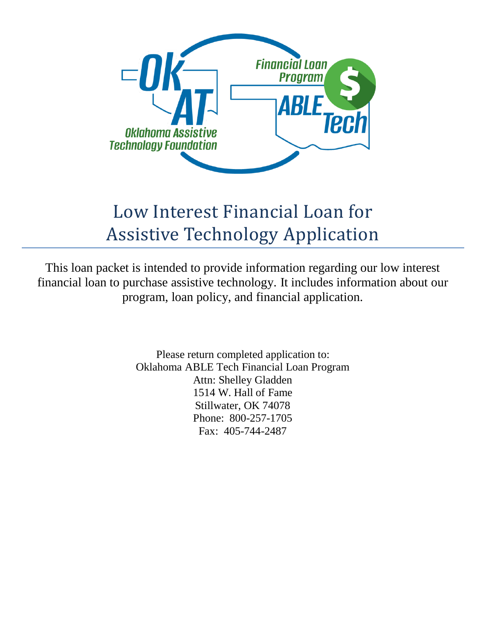

# Low Interest Financial Loan for Assistive Technology Application

This loan packet is intended to provide information regarding our low interest financial loan to purchase assistive technology. It includes information about our program, loan policy, and financial application.

> Please return completed application to: Oklahoma ABLE Tech Financial Loan Program Attn: Shelley Gladden 1514 W. Hall of Fame Stillwater, OK 74078 Phone: 800-257-1705 Fax: 405-744-2487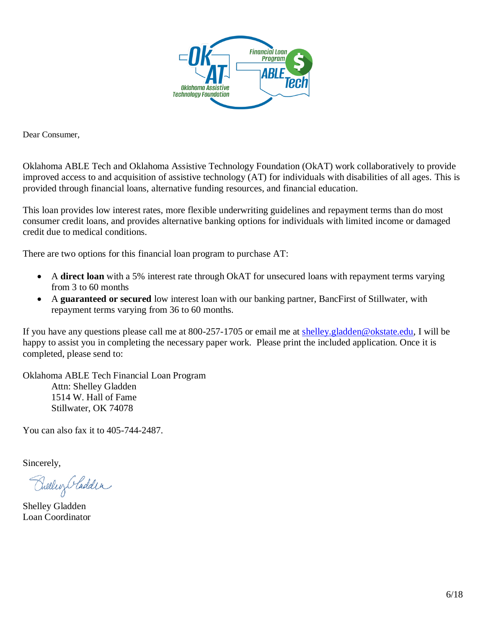

Dear Consumer,

Oklahoma ABLE Tech and Oklahoma Assistive Technology Foundation (OkAT) work collaboratively to provide improved access to and acquisition of assistive technology (AT) for individuals with disabilities of all ages. This is provided through financial loans, alternative funding resources, and financial education.

This loan provides low interest rates, more flexible underwriting guidelines and repayment terms than do most consumer credit loans, and provides alternative banking options for individuals with limited income or damaged credit due to medical conditions.

There are two options for this financial loan program to purchase AT:

- A **direct loan** with a 5% interest rate through OkAT for unsecured loans with repayment terms varying from 3 to 60 months
- A **guaranteed or secured** low interest loan with our banking partner, BancFirst of Stillwater, with repayment terms varying from 36 to 60 months.

If you have any questions please call me at 800-257-1705 or email me at [shelley.gladden@okstate.edu,](mailto:shelley.gladden@okstate.edu) I will be happy to assist you in completing the necessary paper work. Please print the included application. Once it is completed, please send to:

Oklahoma ABLE Tech Financial Loan Program Attn: Shelley Gladden 1514 W. Hall of Fame Stillwater, OK 74078

You can also fax it to 405-744-2487.

Sincerely,

Brelling Cladden

Shelley Gladden Loan Coordinator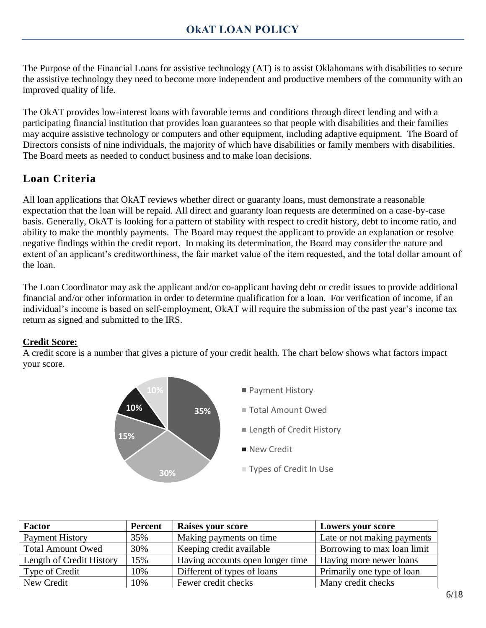The Purpose of the Financial Loans for assistive technology (AT) is to assist Oklahomans with disabilities to secure the assistive technology they need to become more independent and productive members of the community with an improved quality of life.

The OkAT provides low-interest loans with favorable terms and conditions through direct lending and with a participating financial institution that provides loan guarantees so that people with disabilities and their families may acquire assistive technology or computers and other equipment, including adaptive equipment. The Board of Directors consists of nine individuals, the majority of which have disabilities or family members with disabilities. The Board meets as needed to conduct business and to make loan decisions.

# **Loan Criteria**

All loan applications that OkAT reviews whether direct or guaranty loans, must demonstrate a reasonable expectation that the loan will be repaid. All direct and guaranty loan requests are determined on a case-by-case basis. Generally, OkAT is looking for a pattern of stability with respect to credit history, debt to income ratio, and ability to make the monthly payments. The Board may request the applicant to provide an explanation or resolve negative findings within the credit report. In making its determination, the Board may consider the nature and extent of an applicant's creditworthiness, the fair market value of the item requested, and the total dollar amount of the loan.

The Loan Coordinator may ask the applicant and/or co-applicant having debt or credit issues to provide additional financial and/or other information in order to determine qualification for a loan. For verification of income, if an individual's income is based on self-employment, OkAT will require the submission of the past year's income tax return as signed and submitted to the IRS.

## **Credit Score:**

A credit score is a number that gives a picture of your credit health. The chart below shows what factors impact your score.



| <b>Factor</b>            | <b>Percent</b> | <b>Raises your score</b>         | Lowers your score           |
|--------------------------|----------------|----------------------------------|-----------------------------|
| <b>Payment History</b>   | 35%            | Making payments on time.         | Late or not making payments |
| <b>Total Amount Owed</b> | 30%            | Keeping credit available         | Borrowing to max loan limit |
| Length of Credit History | 15%            | Having accounts open longer time | Having more newer loans     |
| Type of Credit           | 10%            | Different of types of loans      | Primarily one type of loan  |
| New Credit               | 10%            | Fewer credit checks              | Many credit checks          |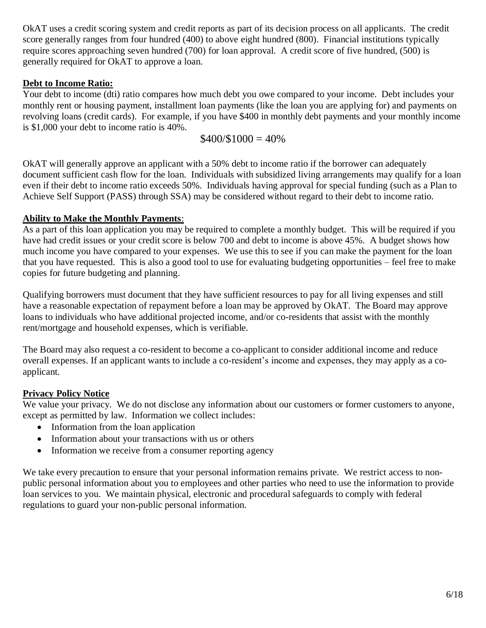OkAT uses a credit scoring system and credit reports as part of its decision process on all applicants. The credit score generally ranges from four hundred (400) to above eight hundred (800). Financial institutions typically require scores approaching seven hundred (700) for loan approval. A credit score of five hundred, (500) is generally required for OkAT to approve a loan.

### **Debt to Income Ratio:**

Your debt to income (dti) ratio compares how much debt you owe compared to your income. Debt includes your monthly rent or housing payment, installment loan payments (like the loan you are applying for) and payments on revolving loans (credit cards). For example, if you have \$400 in monthly debt payments and your monthly income is \$1,000 your debt to income ratio is 40%.

$$
$400 \times 1000 = 40\%
$$

OkAT will generally approve an applicant with a 50% debt to income ratio if the borrower can adequately document sufficient cash flow for the loan. Individuals with subsidized living arrangements may qualify for a loan even if their debt to income ratio exceeds 50%. Individuals having approval for special funding (such as a Plan to Achieve Self Support (PASS) through SSA) may be considered without regard to their debt to income ratio.

#### **Ability to Make the Monthly Payments**:

As a part of this loan application you may be required to complete a monthly budget. This will be required if you have had credit issues or your credit score is below 700 and debt to income is above 45%. A budget shows how much income you have compared to your expenses. We use this to see if you can make the payment for the loan that you have requested. This is also a good tool to use for evaluating budgeting opportunities – feel free to make copies for future budgeting and planning.

Qualifying borrowers must document that they have sufficient resources to pay for all living expenses and still have a reasonable expectation of repayment before a loan may be approved by OkAT. The Board may approve loans to individuals who have additional projected income, and/or co-residents that assist with the monthly rent/mortgage and household expenses, which is verifiable.

The Board may also request a co-resident to become a co-applicant to consider additional income and reduce overall expenses. If an applicant wants to include a co-resident's income and expenses, they may apply as a coapplicant.

## **Privacy Policy Notice**

We value your privacy. We do not disclose any information about our customers or former customers to anyone, except as permitted by law. Information we collect includes:

- Information from the loan application
- Information about your transactions with us or others
- Information we receive from a consumer reporting agency

We take every precaution to ensure that your personal information remains private. We restrict access to nonpublic personal information about you to employees and other parties who need to use the information to provide loan services to you. We maintain physical, electronic and procedural safeguards to comply with federal regulations to guard your non-public personal information.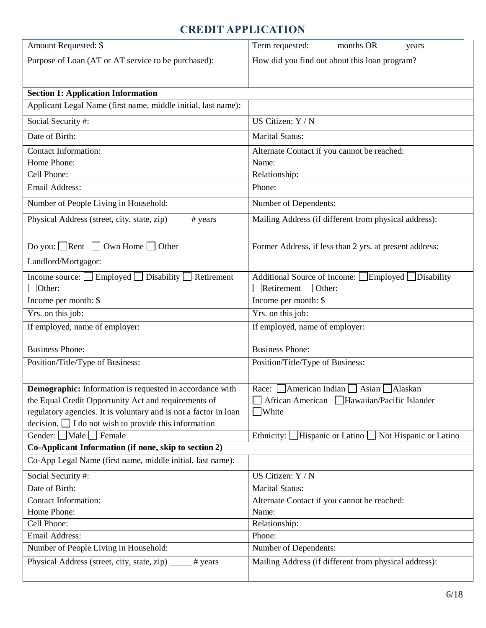# **CREDIT APPLICATION**

| Amount Requested: \$                                              | Term requested:<br>months OR<br>years                               |
|-------------------------------------------------------------------|---------------------------------------------------------------------|
| Purpose of Loan (AT or AT service to be purchased):               | How did you find out about this loan program?                       |
|                                                                   |                                                                     |
| <b>Section 1: Application Information</b>                         |                                                                     |
| Applicant Legal Name (first name, middle initial, last name):     |                                                                     |
|                                                                   |                                                                     |
| Social Security #:                                                | US Citizen: Y / N                                                   |
| Date of Birth:                                                    | <b>Marital Status:</b>                                              |
| <b>Contact Information:</b>                                       | Alternate Contact if you cannot be reached:                         |
| Home Phone:                                                       | Name:                                                               |
| Cell Phone:                                                       | Relationship:                                                       |
| Email Address:                                                    | Phone:                                                              |
| Number of People Living in Household:                             | Number of Dependents:                                               |
| Physical Address (street, city, state, zip)<br># years            | Mailing Address (if different from physical address):               |
|                                                                   |                                                                     |
| Do you: $\Box$ Rent $\Box$ Own Home $\Box$ Other                  | Former Address, if less than 2 yrs. at present address:             |
| Landlord/Mortgagor:                                               |                                                                     |
| Employed $\Box$ Disability<br>Retirement<br>Income source: $\Box$ | Additional Source of Income: [<br>$\Box$ Employed $\Box$ Disability |
| $\Box$ Other:                                                     | $\Box$ Retirement $\Box$ Other:                                     |
| Income per month: \$                                              | Income per month: \$                                                |
| Yrs. on this job:                                                 | Yrs. on this job:                                                   |
| If employed, name of employer:                                    | If employed, name of employer:                                      |
|                                                                   |                                                                     |
| <b>Business Phone:</b>                                            | <b>Business Phone:</b>                                              |
| Position/Title/Type of Business:                                  | Position/Title/Type of Business:                                    |
|                                                                   |                                                                     |
| <b>Demographic:</b> Information is requested in accordance with   | American Indian<br>Asian<br>Alaskan<br>Race:                        |
| the Equal Credit Opportunity Act and requirements of              | African American Hawaiian/Pacific Islander                          |
| regulatory agencies. It is voluntary and is not a factor in loan  | <b>White</b>                                                        |
| decision. $\Box$ I do not wish to provide this information        |                                                                     |
| Gender: $\Box$ Male $\Box$ Female                                 | Ethnicity: Hispanic or Latino<br>Not Hispanic or Latino             |
| Co-Applicant Information (if none, skip to section 2)             |                                                                     |
| Co-App Legal Name (first name, middle initial, last name):        |                                                                     |
| Social Security#:                                                 | US Citizen: Y / N                                                   |
| Date of Birth:                                                    | <b>Marital Status:</b>                                              |
| <b>Contact Information:</b>                                       | Alternate Contact if you cannot be reached:                         |
| Home Phone:                                                       | Name:                                                               |
| Cell Phone:                                                       | Relationship:                                                       |
| Email Address:                                                    | Phone:                                                              |
| Number of People Living in Household:                             | Number of Dependents:                                               |
| Physical Address (street, city, state, zip)<br># years            | Mailing Address (if different from physical address):               |
|                                                                   |                                                                     |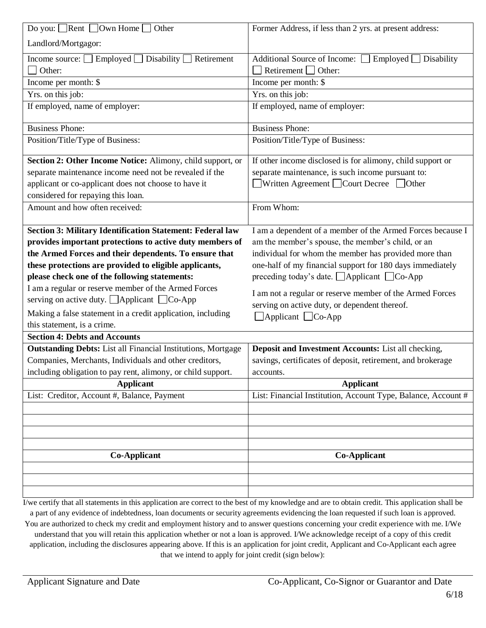| Do you: Rent $\Box$ Own Home $\Box$<br>Other                                                                                                     | Former Address, if less than 2 yrs. at present address:       |
|--------------------------------------------------------------------------------------------------------------------------------------------------|---------------------------------------------------------------|
| Landlord/Mortgagor:                                                                                                                              |                                                               |
| Income source: $\Box$ Employed $\Box$ Disability $\Box$ Retirement                                                                               | Additional Source of Income:<br>$Emploved$ Disability         |
| Other:                                                                                                                                           | Retirement $\Box$ Other:                                      |
| Income per month: \$                                                                                                                             | Income per month: \$                                          |
| Yrs. on this job:                                                                                                                                | Yrs. on this job:                                             |
| If employed, name of employer:                                                                                                                   | If employed, name of employer:                                |
| <b>Business Phone:</b>                                                                                                                           | <b>Business Phone:</b>                                        |
| Position/Title/Type of Business:                                                                                                                 | Position/Title/Type of Business:                              |
| Section 2: Other Income Notice: Alimony, child support, or                                                                                       | If other income disclosed is for alimony, child support or    |
| separate maintenance income need not be revealed if the                                                                                          | separate maintenance, is such income pursuant to:             |
| applicant or co-applicant does not choose to have it                                                                                             | $\Box$ Written Agreement $\Box$ Court Decree $\Box$ Other     |
| considered for repaying this loan.                                                                                                               |                                                               |
| Amount and how often received:                                                                                                                   | From Whom:                                                    |
| Section 3: Military Identification Statement: Federal law                                                                                        | I am a dependent of a member of the Armed Forces because I    |
| provides important protections to active duty members of                                                                                         | am the member's spouse, the member's child, or an             |
| the Armed Forces and their dependents. To ensure that                                                                                            | individual for whom the member has provided more than         |
| these protections are provided to eligible applicants,                                                                                           | one-half of my financial support for 180 days immediately     |
| please check one of the following statements:                                                                                                    | preceding today's date. $\Box$ Applicant $\Box$ Co-App        |
| I am a regular or reserve member of the Armed Forces                                                                                             | I am not a regular or reserve member of the Armed Forces      |
| serving on active duty. $\Box$ Applicant $\Box$ Co-App                                                                                           | serving on active duty, or dependent thereof.                 |
| Making a false statement in a credit application, including                                                                                      | $\Box$ Applicant $\Box$ Co-App                                |
| this statement, is a crime.                                                                                                                      |                                                               |
| <b>Section 4: Debts and Accounts</b>                                                                                                             |                                                               |
| <b>Outstanding Debts:</b> List all Financial Institutions, Mortgage                                                                              | Deposit and Investment Accounts: List all checking,           |
| Companies, Merchants, Individuals and other creditors,                                                                                           | savings, certificates of deposit, retirement, and brokerage   |
| including obligation to pay rent, alimony, or child support.                                                                                     | accounts.                                                     |
| <b>Applicant</b>                                                                                                                                 | <b>Applicant</b>                                              |
| List: Creditor, Account #, Balance, Payment                                                                                                      | List: Financial Institution, Account Type, Balance, Account # |
|                                                                                                                                                  |                                                               |
|                                                                                                                                                  |                                                               |
|                                                                                                                                                  |                                                               |
|                                                                                                                                                  |                                                               |
| <b>Co-Applicant</b>                                                                                                                              | <b>Co-Applicant</b>                                           |
|                                                                                                                                                  |                                                               |
|                                                                                                                                                  |                                                               |
| I/we certify that all statements in this application are correct to the best of my knowledge and are to obtain credit. This application shall be |                                                               |

I/we certify that all statements in this application are correct to the best of my knowledge and are to obtain credit. This application shall be a part of any evidence of indebtedness, loan documents or security agreements evidencing the loan requested if such loan is approved. You are authorized to check my credit and employment history and to answer questions concerning your credit experience with me. I/We understand that you will retain this application whether or not a loan is approved. I/We acknowledge receipt of a copy of this credit application, including the disclosures appearing above. If this is an application for joint credit, Applicant and Co-Applicant each agree that we intend to apply for joint credit (sign below):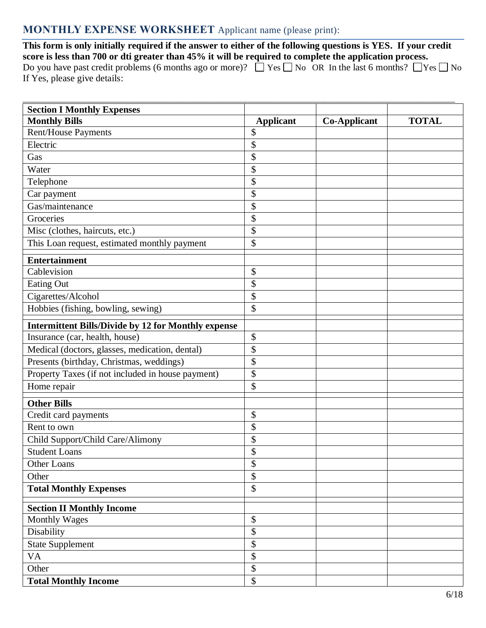# **MONTHLY EXPENSE WORKSHEET** Applicant name (please print):

**This form is only initially required if the answer to either of the following questions is YES. If your credit score is less than 700 or dti greater than 45% it will be required to complete the application process.** Do you have past credit problems (6 months ago or more)?  $\Box$  Yes  $\Box$  No OR In the last 6 months?  $\Box$  Yes  $\Box$  No If Yes, please give details:

| <b>Section I Monthly Expenses</b>                          |                            |                     | <b>TOTAL</b> |
|------------------------------------------------------------|----------------------------|---------------------|--------------|
| <b>Monthly Bills</b><br>Rent/House Payments                | <b>Applicant</b><br>\$     | <b>Co-Applicant</b> |              |
| Electric                                                   | \$                         |                     |              |
|                                                            | \$                         |                     |              |
| Gas                                                        |                            |                     |              |
| Water                                                      | \$                         |                     |              |
| Telephone                                                  | \$                         |                     |              |
| Car payment                                                | \$                         |                     |              |
| Gas/maintenance                                            | \$                         |                     |              |
| Groceries                                                  | \$                         |                     |              |
| Misc (clothes, haircuts, etc.)                             | \$                         |                     |              |
| This Loan request, estimated monthly payment               | \$                         |                     |              |
| <b>Entertainment</b>                                       |                            |                     |              |
| Cablevision                                                | \$                         |                     |              |
| <b>Eating Out</b>                                          | \$                         |                     |              |
| Cigarettes/Alcohol                                         | \$                         |                     |              |
| Hobbies (fishing, bowling, sewing)                         | \$                         |                     |              |
| <b>Intermittent Bills/Divide by 12 for Monthly expense</b> |                            |                     |              |
| Insurance (car, health, house)                             | \$                         |                     |              |
| Medical (doctors, glasses, medication, dental)             | \$                         |                     |              |
| Presents (birthday, Christmas, weddings)                   | \$                         |                     |              |
| Property Taxes (if not included in house payment)          | \$                         |                     |              |
| Home repair                                                | \$                         |                     |              |
| <b>Other Bills</b>                                         |                            |                     |              |
| Credit card payments                                       | \$                         |                     |              |
| Rent to own                                                | \$                         |                     |              |
| Child Support/Child Care/Alimony                           | \$                         |                     |              |
| <b>Student Loans</b>                                       | \$                         |                     |              |
| Other Loans                                                | \$                         |                     |              |
| Other                                                      | \$                         |                     |              |
| <b>Total Monthly Expenses</b>                              | \$                         |                     |              |
|                                                            |                            |                     |              |
| <b>Section II Monthly Income</b>                           |                            |                     |              |
| <b>Monthly Wages</b>                                       | $\boldsymbol{\mathsf{\$}}$ |                     |              |
| Disability                                                 | \$                         |                     |              |
| <b>State Supplement</b>                                    | \$                         |                     |              |
| VA                                                         | \$                         |                     |              |
| Other                                                      | \$                         |                     |              |
| <b>Total Monthly Income</b>                                | \$                         |                     |              |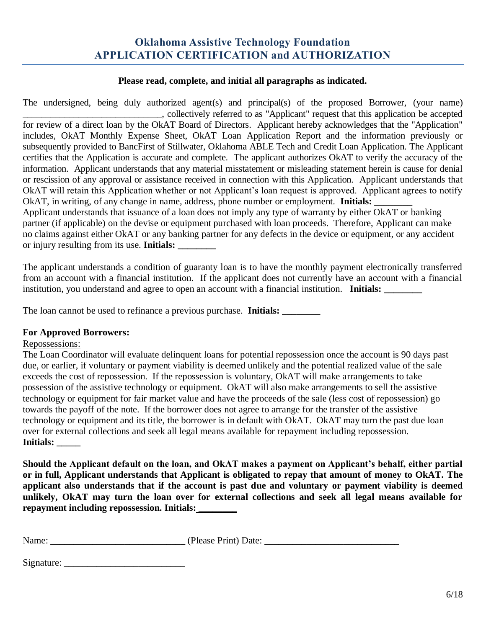# **Oklahoma Assistive Technology Foundation APPLICATION CERTIFICATION and AUTHORIZATION**

#### **Please read, complete, and initial all paragraphs as indicated.**

The undersigned, being duly authorized agent(s) and principal(s) of the proposed Borrower, (your name) \_\_\_\_\_\_\_\_\_\_\_\_\_\_\_\_\_\_\_\_\_\_\_\_\_\_\_\_\_\_, collectively referred to as "Applicant" request that this application be accepted for review of a direct loan by the OkAT Board of Directors. Applicant hereby acknowledges that the "Application" includes, OkAT Monthly Expense Sheet, OkAT Loan Application Report and the information previously or subsequently provided to BancFirst of Stillwater, Oklahoma ABLE Tech and Credit Loan Application. The Applicant certifies that the Application is accurate and complete. The applicant authorizes OkAT to verify the accuracy of the information. Applicant understands that any material misstatement or misleading statement herein is cause for denial or rescission of any approval or assistance received in connection with this Application. Applicant understands that OkAT will retain this Application whether or not Applicant's loan request is approved. Applicant agrees to notify OkAT, in writing, of any change in name, address, phone number or employment. **Initials:** Applicant understands that issuance of a loan does not imply any type of warranty by either OkAT or banking partner (if applicable) on the devise or equipment purchased with loan proceeds. Therefore, Applicant can make no claims against either OkAT or any banking partner for any defects in the device or equipment, or any accident or injury resulting from its use. **Initials: \_\_\_\_\_\_\_\_**

The applicant understands a condition of guaranty loan is to have the monthly payment electronically transferred from an account with a financial institution. If the applicant does not currently have an account with a financial institution, you understand and agree to open an account with a financial institution. **Initials:** 

The loan cannot be used to refinance a previous purchase. **Initials: \_\_\_\_\_\_\_\_**

#### **For Approved Borrowers:**

#### Repossessions:

The Loan Coordinator will evaluate delinquent loans for potential repossession once the account is 90 days past due, or earlier, if voluntary or payment viability is deemed unlikely and the potential realized value of the sale exceeds the cost of repossession. If the repossession is voluntary, OkAT will make arrangements to take possession of the assistive technology or equipment. OkAT will also make arrangements to sell the assistive technology or equipment for fair market value and have the proceeds of the sale (less cost of repossession) go towards the payoff of the note. If the borrower does not agree to arrange for the transfer of the assistive technology or equipment and its title, the borrower is in default with OkAT. OkAT may turn the past due loan over for external collections and seek all legal means available for repayment including repossession. **Initials: \_\_\_\_\_**

**Should the Applicant default on the loan, and OkAT makes a payment on Applicant's behalf, either partial or in full, Applicant understands that Applicant is obligated to repay that amount of money to OkAT. The applicant also understands that if the account is past due and voluntary or payment viability is deemed unlikely, OkAT may turn the loan over for external collections and seek all legal means available for repayment including repossession. Initials: \_\_\_\_\_\_\_\_**

| Name: | (Please Print) Date: |
|-------|----------------------|
|       |                      |

Signature: \_\_\_\_\_\_\_\_\_\_\_\_\_\_\_\_\_\_\_\_\_\_\_\_\_\_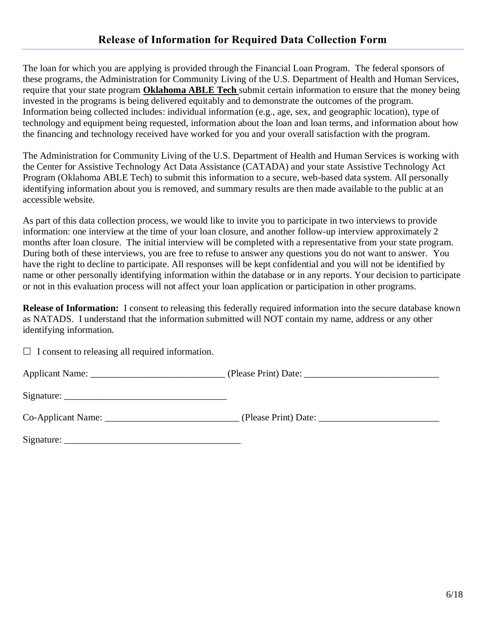The loan for which you are applying is provided through the Financial Loan Program. The federal sponsors of these programs, the Administration for Community Living of the U.S. Department of Health and Human Services, require that your state program **Oklahoma ABLE Tech** submit certain information to ensure that the money being invested in the programs is being delivered equitably and to demonstrate the outcomes of the program. Information being collected includes: individual information (e.g., age, sex, and geographic location), type of technology and equipment being requested, information about the loan and loan terms, and information about how the financing and technology received have worked for you and your overall satisfaction with the program.

The Administration for Community Living of the U.S. Department of Health and Human Services is working with the Center for Assistive Technology Act Data Assistance (CATADA) and your state Assistive Technology Act Program (Oklahoma ABLE Tech) to submit this information to a secure, web-based data system. All personally identifying information about you is removed, and summary results are then made available to the public at an accessible website.

As part of this data collection process, we would like to invite you to participate in two interviews to provide information: one interview at the time of your loan closure, and another follow-up interview approximately 2 months after loan closure. The initial interview will be completed with a representative from your state program. During both of these interviews, you are free to refuse to answer any questions you do not want to answer. You have the right to decline to participate. All responses will be kept confidential and you will not be identified by name or other personally identifying information within the database or in any reports. Your decision to participate or not in this evaluation process will not affect your loan application or participation in other programs.

**Release of Information:** I consent to releasing this federally required information into the secure database known as NATADS. I understand that the information submitted will NOT contain my name, address or any other identifying information.

 $\Box$  I consent to releasing all required information.

Applicant Name: \_\_\_\_\_\_\_\_\_\_\_\_\_\_\_\_\_\_\_\_\_\_\_\_\_\_\_\_\_ (Please Print) Date: \_\_\_\_\_\_\_\_\_\_\_\_\_\_\_\_\_\_\_\_\_\_\_\_\_\_\_\_\_

 $Sigma:$ 

| <b>Co-Applicant Name:</b> | (Please Print) Date: |
|---------------------------|----------------------|
|                           |                      |

| Signature: |  |
|------------|--|
|            |  |